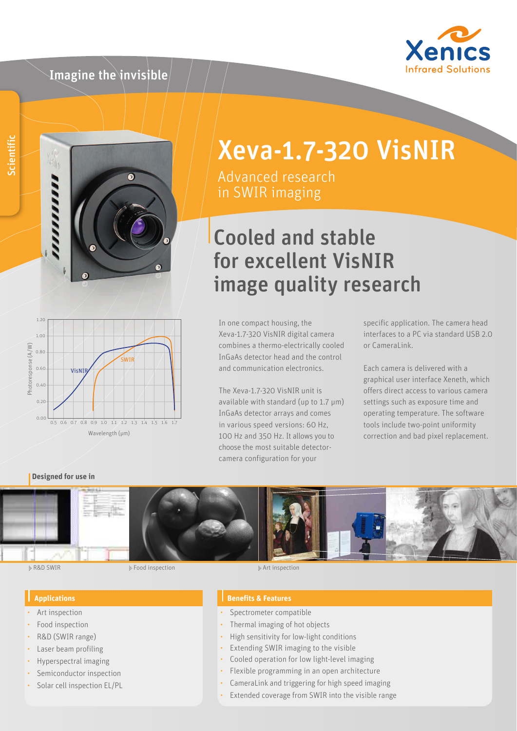# Imagine the invisible





# Xeva-1.7-320 VisNIR

Advanced research in SWIR imaging

# Cooled and stable for excellent VisNIR image quality research



In one compact housing, the Xeva-1.7-320 VisNIR digital camera combines a thermo-electrically cooled InGaAs detector head and the control and communication electronics.

The Xeva-1.7-320 VisNIR unit is available with standard (up to 1.7 μm) InGaAs detector arrays and comes in various speed versions: 60 Hz, 100 Hz and 350 Hz. It allows you to choose the most suitable detectorcamera configuration for your

specific application. The camera head interfaces to a PC via standard USB 2.0 or CameraLink.

Each camera is delivered with a graphical user interface Xeneth, which offers direct access to various camera settings such as exposure time and operating temperature. The software tools include two-point uniformity correction and bad pixel replacement.

### **Designed for use in**



ii- R&D SWIR Food inspection in the set of the set of the set of the set of the set of the set of the set of the set of the set of the set of the set of the set of the set of the set of the set of the set of the set of the

#### **Applications**

- Art inspection
- Food inspection
- R&D (SWIR range)
- Laser beam profiling
- Hyperspectral imaging
- Semiconductor inspection
- Solar cell inspection EL/PL

#### **Benefits & Features**

- Spectrometer compatible
- Thermal imaging of hot objects
- High sensitivity for low-light conditions
- Extending SWIR imaging to the visible
- Cooled operation for low light-level imaging
- Flexible programming in an open architecture
- CameraLink and triggering for high speed imaging
- Extended coverage from SWIR into the visible range